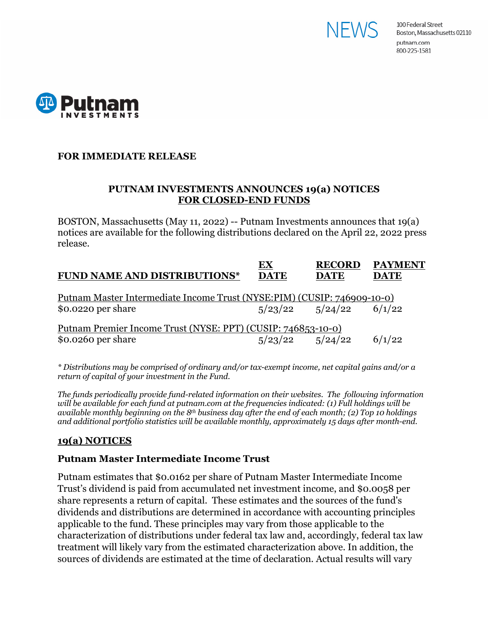



### **FOR IMMEDIATE RELEASE**

#### **PUTNAM INVESTMENTS ANNOUNCES 19(a) NOTICES FOR CLOSED-END FUNDS**

BOSTON, Massachusetts (May 11, 2022) -- Putnam Investments announces that 19(a) notices are available for the following distributions declared on the April 22, 2022 press release.

| <b>FUND NAME AND DISTRIBUTIONS*</b>                                      | EХ<br><b>DATE</b> | <b>RECORD</b><br><b>DATE</b> | <b>PAYMENT</b><br><b>DATE</b> |
|--------------------------------------------------------------------------|-------------------|------------------------------|-------------------------------|
| Putnam Master Intermediate Income Trust (NYSE: PIM) (CUSIP: 746909-10-0) |                   |                              |                               |
| $$0.0220$ per share                                                      |                   | $5/23/22$ $5/24/22$          | 6/1/22                        |

*\* Distributions may be comprised of ordinary and/or tax-exempt income, net capital gains and/or a return of capital of your investment in the Fund.*

*The funds periodically provide fund-related information on their websites. The following information will be available for each fund at putnam.com at the frequencies indicated: (1) Full holdings will be available monthly beginning on the 8th business day after the end of each month; (2) Top 10 holdings and additional portfolio statistics will be available monthly, approximately 15 days after month-end.*

# **19(a) NOTICES**

### **Putnam Master Intermediate Income Trust**

Putnam estimates that \$0.0162 per share of Putnam Master Intermediate Income Trust's dividend is paid from accumulated net investment income, and \$0.0058 per share represents a return of capital. These estimates and the sources of the fund's dividends and distributions are determined in accordance with accounting principles applicable to the fund. These principles may vary from those applicable to the characterization of distributions under federal tax law and, accordingly, federal tax law treatment will likely vary from the estimated characterization above. In addition, the sources of dividends are estimated at the time of declaration. Actual results will vary